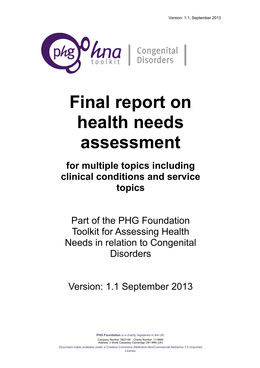

## **Final report on health needs assessment**

## **for multiple topics including clinical conditions and service topics**

Part of the PHG Foundation Toolkit for Assessing Health Needs in relation to Congenital **Disorders** 

Version: 1.1 September 2013

**PHG Foundation** is a charity registered in the UK. Company Number: 5823194 Charity Number: 1118664 Address: 2 Worts Causeway Cambridge CB1 8RN (UK) Document made available under a Creative Commons Attribution-NonCommercial-NoDerivs 3.0 Unported License.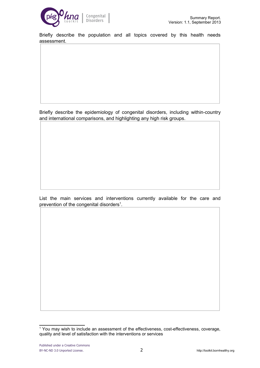

Briefly describe the population and all topics covered by this health needs assessment.

Briefly describe the epidemiology of congenital disorders, including within-country and international comparisons, and highlighting any high risk groups.

List the main services and interventions currently available for the care and prevention of the congenital disorders<sup>[1](#page-1-0)</sup>.

<span id="page-1-0"></span><sup>&</sup>lt;sup>1</sup> You may wish to include an assessment of the effectiveness, cost-effectiveness, coverage, quality and level of satisfaction with the interventions or services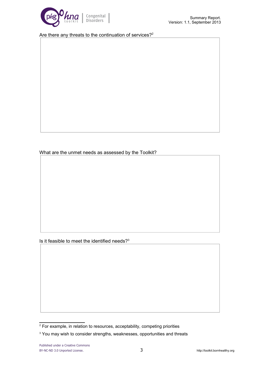

Are there any threats to the continuation of services?<sup>[2](#page-2-0)</sup>

What are the unmet needs as assessed by the Toolkit?

Is it feasible to meet the identified needs?<sup>[3](#page-2-1)</sup>

<span id="page-2-0"></span><sup>&</sup>lt;sup>2</sup> For example, in relation to resources, acceptability, competing priorities

<span id="page-2-1"></span><sup>&</sup>lt;sup>3</sup> You may wish to consider strengths, weaknesses, opportunities and threats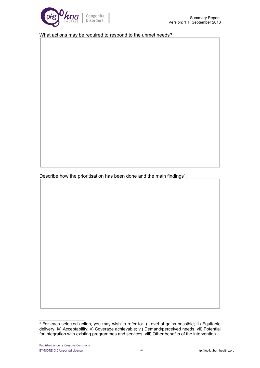

What actions may be required to respond to the unmet needs?

Describe how the prioritisation has been done and the main findings $4$ .

<span id="page-3-0"></span><sup>&</sup>lt;sup>4</sup> For each selected action, you may wish to refer to: i) Level of gains possible; iii) Equitable delivery; iv) Acceptability; v) Coverage achievable; vi) Demand/perceived needs, vii) Potential for integration with existing programmes and services; viii) Other benefits of the intervention.